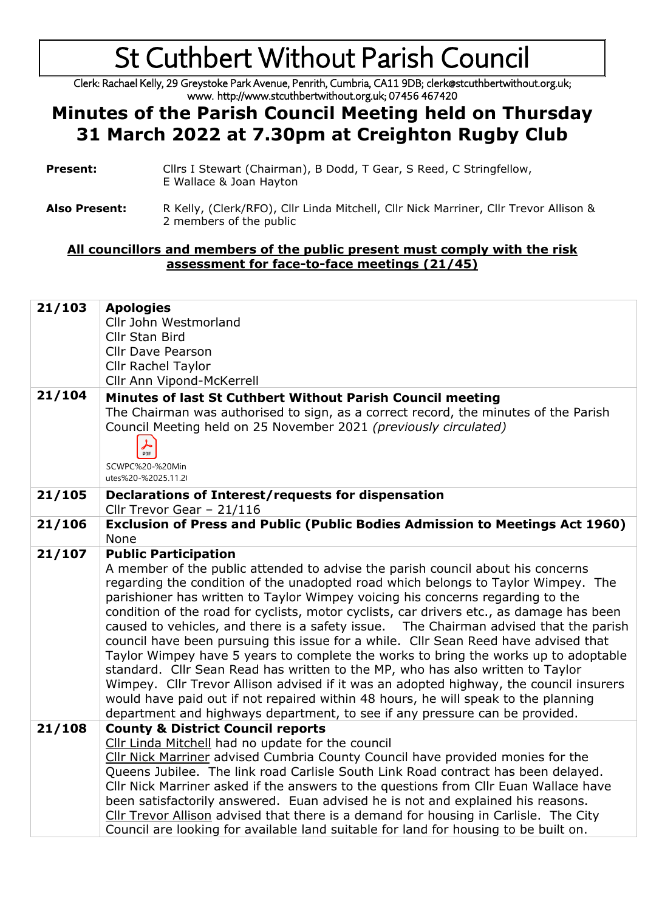Clerk: Rachael Kelly, 29 Greystoke Park Avenue, Penrith, Cumbria, CA11 9DB; clerk@stcuthbertwithout.org.uk; www. http://www.stcuthbertwithout.org.uk; 07456 467420

### **Minutes of the Parish Council Meeting held on Thursday 31 March 2022 at 7.30pm at Creighton Rugby Club**

- **Present:** Cllrs I Stewart (Chairman), B Dodd, T Gear, S Reed, C Stringfellow, E Wallace & Joan Hayton
- **Also Present:** R Kelly, (Clerk/RFO), Cllr Linda Mitchell, Cllr Nick Marriner, Cllr Trevor Allison & 2 members of the public

#### **All councillors and members of the public present must comply with the risk assessment for face-to-face meetings (21/45)**

| 21/103 | <b>Apologies</b><br>Cllr John Westmorland<br>Cllr Stan Bird<br><b>Cllr Dave Pearson</b><br><b>Cllr Rachel Taylor</b><br>Cllr Ann Vipond-McKerrell                                                                                                                                                                                                                                                                                                                                                                                                                                                                                                                                                                                                                                                                                                                                                                                                                                                         |
|--------|-----------------------------------------------------------------------------------------------------------------------------------------------------------------------------------------------------------------------------------------------------------------------------------------------------------------------------------------------------------------------------------------------------------------------------------------------------------------------------------------------------------------------------------------------------------------------------------------------------------------------------------------------------------------------------------------------------------------------------------------------------------------------------------------------------------------------------------------------------------------------------------------------------------------------------------------------------------------------------------------------------------|
| 21/104 | Minutes of last St Cuthbert Without Parish Council meeting<br>The Chairman was authorised to sign, as a correct record, the minutes of the Parish<br>Council Meeting held on 25 November 2021 (previously circulated)<br>⅄<br>PDF<br>SCWPC%20-%20Min<br>utes%20-%2025.11.20                                                                                                                                                                                                                                                                                                                                                                                                                                                                                                                                                                                                                                                                                                                               |
| 21/105 | <b>Declarations of Interest/requests for dispensation</b><br>Cllr Trevor Gear - 21/116                                                                                                                                                                                                                                                                                                                                                                                                                                                                                                                                                                                                                                                                                                                                                                                                                                                                                                                    |
| 21/106 | <b>Exclusion of Press and Public (Public Bodies Admission to Meetings Act 1960)</b><br>None                                                                                                                                                                                                                                                                                                                                                                                                                                                                                                                                                                                                                                                                                                                                                                                                                                                                                                               |
| 21/107 | <b>Public Participation</b><br>A member of the public attended to advise the parish council about his concerns<br>regarding the condition of the unadopted road which belongs to Taylor Wimpey. The<br>parishioner has written to Taylor Wimpey voicing his concerns regarding to the<br>condition of the road for cyclists, motor cyclists, car drivers etc., as damage has been<br>caused to vehicles, and there is a safety issue. The Chairman advised that the parish<br>council have been pursuing this issue for a while. Cllr Sean Reed have advised that<br>Taylor Wimpey have 5 years to complete the works to bring the works up to adoptable<br>standard. Cllr Sean Read has written to the MP, who has also written to Taylor<br>Wimpey. Cllr Trevor Allison advised if it was an adopted highway, the council insurers<br>would have paid out if not repaired within 48 hours, he will speak to the planning<br>department and highways department, to see if any pressure can be provided. |
| 21/108 | <b>County &amp; District Council reports</b><br>Cllr Linda Mitchell had no update for the council<br>Cllr Nick Marriner advised Cumbria County Council have provided monies for the<br>Queens Jubilee. The link road Carlisle South Link Road contract has been delayed.<br>Cllr Nick Marriner asked if the answers to the questions from Cllr Euan Wallace have<br>been satisfactorily answered. Euan advised he is not and explained his reasons.<br>Cllr Trevor Allison advised that there is a demand for housing in Carlisle. The City<br>Council are looking for available land suitable for land for housing to be built on.                                                                                                                                                                                                                                                                                                                                                                       |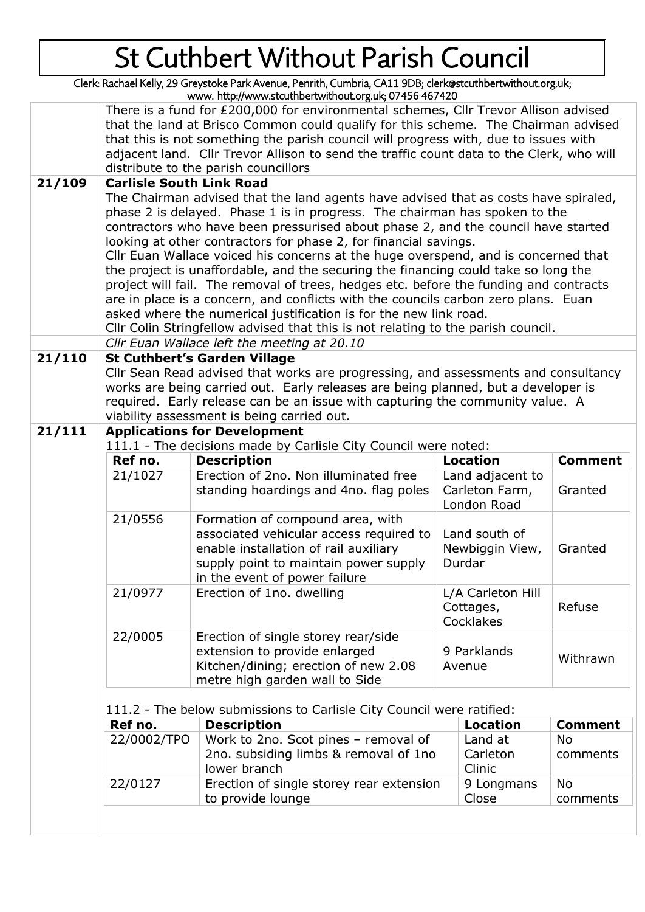Clerk: Rachael Kelly, 29 Greystoke Park Avenue, Penrith, Cumbria, CA11 9DB; clerk@stcuthbertwithout.org.uk; www. http://www.stcuthbertwithout.org.uk; 07456 467420

|        |                                                                                          | www. neep.j/www.securing.cwichout.org.uk, 07-150-167-120                                                                                               |                                                                                   |                                   |                |  |
|--------|------------------------------------------------------------------------------------------|--------------------------------------------------------------------------------------------------------------------------------------------------------|-----------------------------------------------------------------------------------|-----------------------------------|----------------|--|
|        | There is a fund for £200,000 for environmental schemes, Cllr Trevor Allison advised      |                                                                                                                                                        |                                                                                   |                                   |                |  |
|        | that the land at Brisco Common could qualify for this scheme. The Chairman advised       |                                                                                                                                                        |                                                                                   |                                   |                |  |
|        | that this is not something the parish council will progress with, due to issues with     |                                                                                                                                                        |                                                                                   |                                   |                |  |
|        | adjacent land. Cllr Trevor Allison to send the traffic count data to the Clerk, who will |                                                                                                                                                        |                                                                                   |                                   |                |  |
|        | distribute to the parish councillors                                                     |                                                                                                                                                        |                                                                                   |                                   |                |  |
| 21/109 |                                                                                          | <b>Carlisle South Link Road</b>                                                                                                                        |                                                                                   |                                   |                |  |
|        |                                                                                          | The Chairman advised that the land agents have advised that as costs have spiraled,                                                                    |                                                                                   |                                   |                |  |
|        |                                                                                          | phase 2 is delayed. Phase 1 is in progress. The chairman has spoken to the                                                                             |                                                                                   |                                   |                |  |
|        |                                                                                          | contractors who have been pressurised about phase 2, and the council have started                                                                      |                                                                                   |                                   |                |  |
|        |                                                                                          | looking at other contractors for phase 2, for financial savings.<br>Cllr Euan Wallace voiced his concerns at the huge overspend, and is concerned that |                                                                                   |                                   |                |  |
|        |                                                                                          | the project is unaffordable, and the securing the financing could take so long the                                                                     |                                                                                   |                                   |                |  |
|        |                                                                                          | project will fail. The removal of trees, hedges etc. before the funding and contracts                                                                  |                                                                                   |                                   |                |  |
|        |                                                                                          | are in place is a concern, and conflicts with the councils carbon zero plans. Euan                                                                     |                                                                                   |                                   |                |  |
|        |                                                                                          | asked where the numerical justification is for the new link road.                                                                                      |                                                                                   |                                   |                |  |
|        |                                                                                          | Cllr Colin Stringfellow advised that this is not relating to the parish council.                                                                       |                                                                                   |                                   |                |  |
|        |                                                                                          | Cllr Euan Wallace left the meeting at 20.10                                                                                                            |                                                                                   |                                   |                |  |
| 21/110 |                                                                                          | <b>St Cuthbert's Garden Village</b>                                                                                                                    |                                                                                   |                                   |                |  |
|        |                                                                                          | Cllr Sean Read advised that works are progressing, and assessments and consultancy                                                                     |                                                                                   |                                   |                |  |
|        |                                                                                          |                                                                                                                                                        | works are being carried out. Early releases are being planned, but a developer is |                                   |                |  |
|        |                                                                                          | required. Early release can be an issue with capturing the community value. A                                                                          |                                                                                   |                                   |                |  |
|        |                                                                                          | viability assessment is being carried out.                                                                                                             |                                                                                   |                                   |                |  |
| 21/111 |                                                                                          | <b>Applications for Development</b>                                                                                                                    |                                                                                   |                                   |                |  |
|        | 111.1 - The decisions made by Carlisle City Council were noted:                          |                                                                                                                                                        |                                                                                   |                                   |                |  |
|        | Ref no.                                                                                  | <b>Description</b>                                                                                                                                     |                                                                                   | <b>Location</b><br><b>Comment</b> |                |  |
|        | 21/1027                                                                                  | Erection of 2no. Non illuminated free                                                                                                                  |                                                                                   | Land adjacent to                  |                |  |
|        |                                                                                          | standing hoardings and 4no. flag poles                                                                                                                 |                                                                                   | Carleton Farm,<br>London Road     | Granted        |  |
|        | 21/0556                                                                                  | Formation of compound area, with                                                                                                                       |                                                                                   |                                   |                |  |
|        |                                                                                          | associated vehicular access required to                                                                                                                | Land south of<br>Newbiggin View,<br>Granted<br>Durdar                             |                                   |                |  |
|        |                                                                                          | enable installation of rail auxiliary                                                                                                                  |                                                                                   |                                   |                |  |
|        |                                                                                          | supply point to maintain power supply                                                                                                                  |                                                                                   |                                   |                |  |
|        |                                                                                          | in the event of power failure                                                                                                                          |                                                                                   |                                   |                |  |
|        | 21/0977                                                                                  | Erection of 1no. dwelling                                                                                                                              | L/A Carleton Hill                                                                 |                                   |                |  |
|        |                                                                                          |                                                                                                                                                        | Cottages,                                                                         |                                   | Refuse         |  |
|        |                                                                                          |                                                                                                                                                        | Cocklakes                                                                         |                                   |                |  |
|        | 22/0005                                                                                  | Erection of single storey rear/side                                                                                                                    |                                                                                   |                                   |                |  |
|        |                                                                                          | extension to provide enlarged                                                                                                                          | 9 Parklands                                                                       |                                   | Withrawn       |  |
|        |                                                                                          | Kitchen/dining; erection of new 2.08                                                                                                                   |                                                                                   | Avenue                            |                |  |
|        |                                                                                          | metre high garden wall to Side                                                                                                                         |                                                                                   |                                   |                |  |
|        |                                                                                          |                                                                                                                                                        |                                                                                   |                                   |                |  |
|        | 111.2 - The below submissions to Carlisle City Council were ratified:                    |                                                                                                                                                        |                                                                                   |                                   |                |  |
|        | Ref no.                                                                                  | <b>Description</b>                                                                                                                                     |                                                                                   | <b>Location</b>                   | <b>Comment</b> |  |
|        | 22/0002/TPO                                                                              | Work to 2no. Scot pines - removal of                                                                                                                   |                                                                                   | Land at                           | <b>No</b>      |  |
|        |                                                                                          |                                                                                                                                                        |                                                                                   |                                   |                |  |
|        |                                                                                          | 2no. subsiding limbs & removal of 1no                                                                                                                  |                                                                                   | Carleton                          | comments       |  |
|        |                                                                                          | lower branch                                                                                                                                           |                                                                                   | Clinic                            |                |  |
|        | 22/0127                                                                                  | Erection of single storey rear extension                                                                                                               |                                                                                   | 9 Longmans                        | No             |  |
|        |                                                                                          | to provide lounge                                                                                                                                      |                                                                                   | Close                             | comments       |  |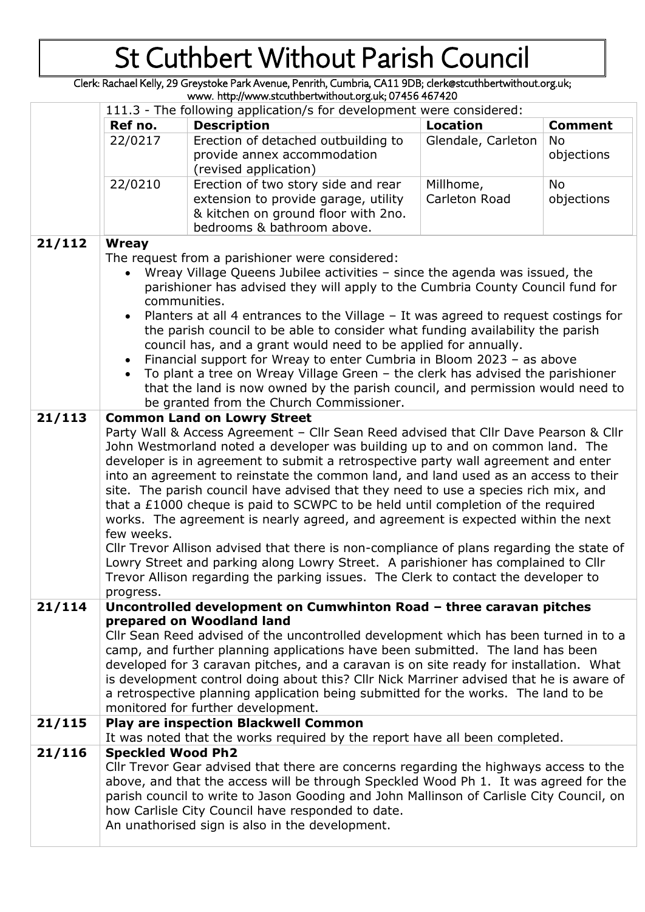Clerk: Rachael Kelly, 29 Greystoke Park Avenue, Penrith, Cumbria, CA11 9DB; clerk@stcuthbertwithout.org.uk; www. http://www.stcuthbertwithout.org.uk; 07456 467420

|        | 111.3 - The following application/s for development were considered:                                                                                                                                                                                                                                                                                                                                                                                                                                                                                                                                                                                                                                                                                                                                                                                                                                                |                                                                                                                                                                                                                                                                                                                                                                                                                                                                                                                      |                    |                  |
|--------|---------------------------------------------------------------------------------------------------------------------------------------------------------------------------------------------------------------------------------------------------------------------------------------------------------------------------------------------------------------------------------------------------------------------------------------------------------------------------------------------------------------------------------------------------------------------------------------------------------------------------------------------------------------------------------------------------------------------------------------------------------------------------------------------------------------------------------------------------------------------------------------------------------------------|----------------------------------------------------------------------------------------------------------------------------------------------------------------------------------------------------------------------------------------------------------------------------------------------------------------------------------------------------------------------------------------------------------------------------------------------------------------------------------------------------------------------|--------------------|------------------|
|        | Ref no.                                                                                                                                                                                                                                                                                                                                                                                                                                                                                                                                                                                                                                                                                                                                                                                                                                                                                                             | <b>Description</b>                                                                                                                                                                                                                                                                                                                                                                                                                                                                                                   | <b>Location</b>    | <b>Comment</b>   |
|        | 22/0217                                                                                                                                                                                                                                                                                                                                                                                                                                                                                                                                                                                                                                                                                                                                                                                                                                                                                                             | Erection of detached outbuilding to<br>provide annex accommodation<br>(revised application)                                                                                                                                                                                                                                                                                                                                                                                                                          | Glendale, Carleton | No<br>objections |
|        | 22/0210                                                                                                                                                                                                                                                                                                                                                                                                                                                                                                                                                                                                                                                                                                                                                                                                                                                                                                             | Erection of two story side and rear                                                                                                                                                                                                                                                                                                                                                                                                                                                                                  | Millhome,          | No               |
|        |                                                                                                                                                                                                                                                                                                                                                                                                                                                                                                                                                                                                                                                                                                                                                                                                                                                                                                                     | extension to provide garage, utility<br>& kitchen on ground floor with 2no.<br>bedrooms & bathroom above.                                                                                                                                                                                                                                                                                                                                                                                                            | Carleton Road      | objections       |
| 21/112 |                                                                                                                                                                                                                                                                                                                                                                                                                                                                                                                                                                                                                                                                                                                                                                                                                                                                                                                     |                                                                                                                                                                                                                                                                                                                                                                                                                                                                                                                      |                    |                  |
|        | Wreay<br>The request from a parishioner were considered:<br>Wreay Village Queens Jubilee activities - since the agenda was issued, the<br>parishioner has advised they will apply to the Cumbria County Council fund for<br>communities.<br>Planters at all 4 entrances to the Village - It was agreed to request costings for<br>the parish council to be able to consider what funding availability the parish<br>council has, and a grant would need to be applied for annually.<br>Financial support for Wreay to enter Cumbria in Bloom 2023 - as above<br>To plant a tree on Wreay Village Green - the clerk has advised the parishioner<br>that the land is now owned by the parish council, and permission would need to                                                                                                                                                                                    |                                                                                                                                                                                                                                                                                                                                                                                                                                                                                                                      |                    |                  |
| 21/113 |                                                                                                                                                                                                                                                                                                                                                                                                                                                                                                                                                                                                                                                                                                                                                                                                                                                                                                                     | be granted from the Church Commissioner.<br><b>Common Land on Lowry Street</b>                                                                                                                                                                                                                                                                                                                                                                                                                                       |                    |                  |
|        | Party Wall & Access Agreement - Cllr Sean Reed advised that Cllr Dave Pearson & Cllr<br>John Westmorland noted a developer was building up to and on common land. The<br>developer is in agreement to submit a retrospective party wall agreement and enter<br>into an agreement to reinstate the common land, and land used as an access to their<br>site. The parish council have advised that they need to use a species rich mix, and<br>that a £1000 cheque is paid to SCWPC to be held until completion of the required<br>works. The agreement is nearly agreed, and agreement is expected within the next<br>few weeks.<br>Cllr Trevor Allison advised that there is non-compliance of plans regarding the state of<br>Lowry Street and parking along Lowry Street. A parishioner has complained to Cllr<br>Trevor Allison regarding the parking issues. The Clerk to contact the developer to<br>progress. |                                                                                                                                                                                                                                                                                                                                                                                                                                                                                                                      |                    |                  |
| 21/114 |                                                                                                                                                                                                                                                                                                                                                                                                                                                                                                                                                                                                                                                                                                                                                                                                                                                                                                                     | Uncontrolled development on Cumwhinton Road - three caravan pitches                                                                                                                                                                                                                                                                                                                                                                                                                                                  |                    |                  |
|        |                                                                                                                                                                                                                                                                                                                                                                                                                                                                                                                                                                                                                                                                                                                                                                                                                                                                                                                     | prepared on Woodland land<br>Cllr Sean Reed advised of the uncontrolled development which has been turned in to a<br>camp, and further planning applications have been submitted. The land has been<br>developed for 3 caravan pitches, and a caravan is on site ready for installation. What<br>is development control doing about this? Cllr Nick Marriner advised that he is aware of<br>a retrospective planning application being submitted for the works. The land to be<br>monitored for further development. |                    |                  |
| 21/115 |                                                                                                                                                                                                                                                                                                                                                                                                                                                                                                                                                                                                                                                                                                                                                                                                                                                                                                                     | <b>Play are inspection Blackwell Common</b>                                                                                                                                                                                                                                                                                                                                                                                                                                                                          |                    |                  |
| 21/116 | <b>Speckled Wood Ph2</b>                                                                                                                                                                                                                                                                                                                                                                                                                                                                                                                                                                                                                                                                                                                                                                                                                                                                                            | It was noted that the works required by the report have all been completed.                                                                                                                                                                                                                                                                                                                                                                                                                                          |                    |                  |
|        |                                                                                                                                                                                                                                                                                                                                                                                                                                                                                                                                                                                                                                                                                                                                                                                                                                                                                                                     | Cllr Trevor Gear advised that there are concerns regarding the highways access to the<br>above, and that the access will be through Speckled Wood Ph 1. It was agreed for the<br>parish council to write to Jason Gooding and John Mallinson of Carlisle City Council, on<br>how Carlisle City Council have responded to date.<br>An unathorised sign is also in the development.                                                                                                                                    |                    |                  |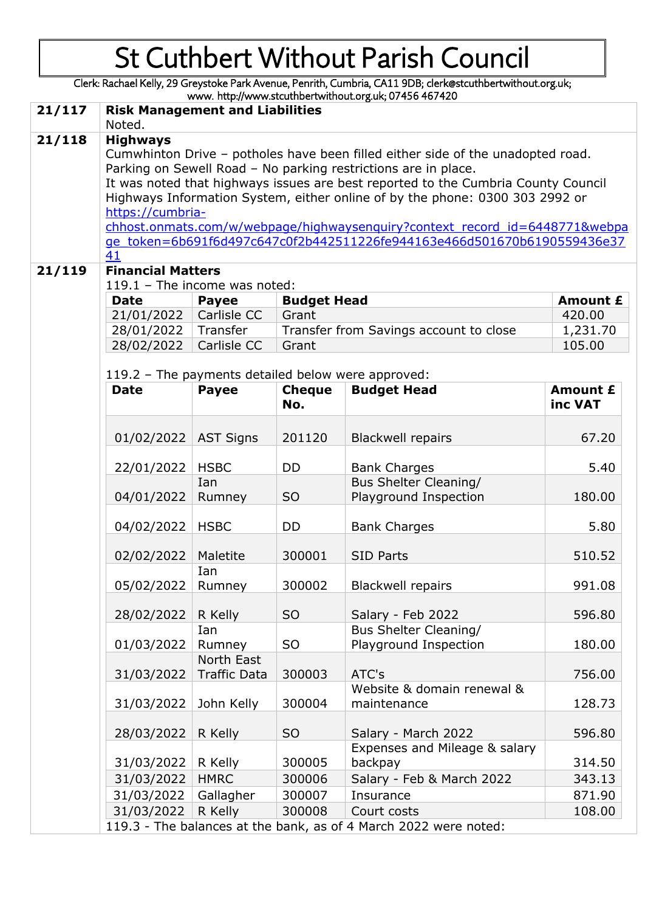Clerk: Rachael Kelly, 29 Greystoke Park Avenue, Penrith, Cumbria, CA11 9DB; clerk@stcuthbertwithout.org.uk; www. http://www.stcuthbertwithout.org.uk; 07456 467420 **21/117 Risk Management and Liabilities** Noted. **21/118 Highways**

Cumwhinton Drive – potholes have been filled either side of the unadopted road. Parking on Sewell Road – No parking restrictions are in place. It was noted that highways issues are best reported to the Cumbria County Council Highways Information System, either online of by the phone: 0300 303 2992 or [https://cumbria-](https://cumbria-chhost.onmats.com/w/webpage/highwaysenquiry?context_record_id=6448771&webpage_token=6b691f6d497c647c0f2b442511226fe944163e466d501670b6190559436e3741)

[chhost.onmats.com/w/webpage/highwaysenquiry?context\\_record\\_id=6448771&webpa](https://cumbria-chhost.onmats.com/w/webpage/highwaysenquiry?context_record_id=6448771&webpage_token=6b691f6d497c647c0f2b442511226fe944163e466d501670b6190559436e3741) [ge\\_token=6b691f6d497c647c0f2b442511226fe944163e466d501670b6190559436e37](https://cumbria-chhost.onmats.com/w/webpage/highwaysenquiry?context_record_id=6448771&webpage_token=6b691f6d497c647c0f2b442511226fe944163e466d501670b6190559436e3741) [41](https://cumbria-chhost.onmats.com/w/webpage/highwaysenquiry?context_record_id=6448771&webpage_token=6b691f6d497c647c0f2b442511226fe944163e466d501670b6190559436e3741)

### **21/119 Financial Matters**

| 119.1 - The income was noted: |              |                                        |                 |
|-------------------------------|--------------|----------------------------------------|-----------------|
| <b>Date</b>                   | <b>Payee</b> | <b>Budget Head</b>                     | <b>Amount £</b> |
| 21/01/2022   Carlisle CC      |              | Grant                                  | 420.00          |
| 28/01/2022   Transfer         |              | Transfer from Savings account to close | 1,231.70        |
| 28/02/2022   Carlisle CC      |              | Grant                                  | 105.00          |

119.2 – The payments detailed below were approved:

| <b>Date</b>            | <b>Payee</b>        | <b>Cheque</b><br>No. | <b>Budget Head</b>                                                                               | Amount £<br>inc VAT |
|------------------------|---------------------|----------------------|--------------------------------------------------------------------------------------------------|---------------------|
| 01/02/2022   AST Signs |                     | 201120               | <b>Blackwell repairs</b>                                                                         | 67.20               |
|                        |                     |                      |                                                                                                  |                     |
| 22/01/2022             | <b>HSBC</b>         | <b>DD</b>            | <b>Bank Charges</b>                                                                              | 5.40                |
| 04/01/2022             | Ian<br>Rumney       | <b>SO</b>            | Bus Shelter Cleaning/<br>Playground Inspection                                                   | 180.00              |
| 04/02/2022             | <b>HSBC</b>         | <b>DD</b>            | <b>Bank Charges</b>                                                                              | 5.80                |
| 02/02/2022             | Maletite            | 300001               | <b>SID Parts</b>                                                                                 | 510.52              |
| 05/02/2022             | Ian<br>Rumney       | 300002               | <b>Blackwell repairs</b>                                                                         | 991.08              |
| 28/02/2022             | R Kelly             | S <sub>O</sub>       | Salary - Feb 2022                                                                                | 596.80              |
| 01/03/2022             | Rumney              | <b>SO</b>            | Playground Inspection                                                                            | 180.00              |
| 31/03/2022             | <b>Traffic Data</b> | 300003               | ATC's                                                                                            | 756.00              |
| 31/03/2022             | John Kelly          | 300004               | Website & domain renewal &<br>maintenance                                                        | 128.73              |
| 28/03/2022             | R Kelly             | <b>SO</b>            | Salary - March 2022                                                                              | 596.80              |
| 31/03/2022             | R Kelly             | 300005               | Expenses and Mileage & salary<br>backpay                                                         | 314.50              |
| 31/03/2022             | <b>HMRC</b>         | 300006               | Salary - Feb & March 2022                                                                        | 343.13              |
| 31/03/2022             | Gallagher           | 300007               | Insurance                                                                                        | 871.90              |
| 31/03/2022             | R Kelly             | 300008               | Court costs                                                                                      | 108.00              |
|                        | Ian<br>North East   |                      | <b>Bus Shelter Cleaning/</b><br>119.3 - The balances at the bank, as of 4 March 2022 were noted: |                     |